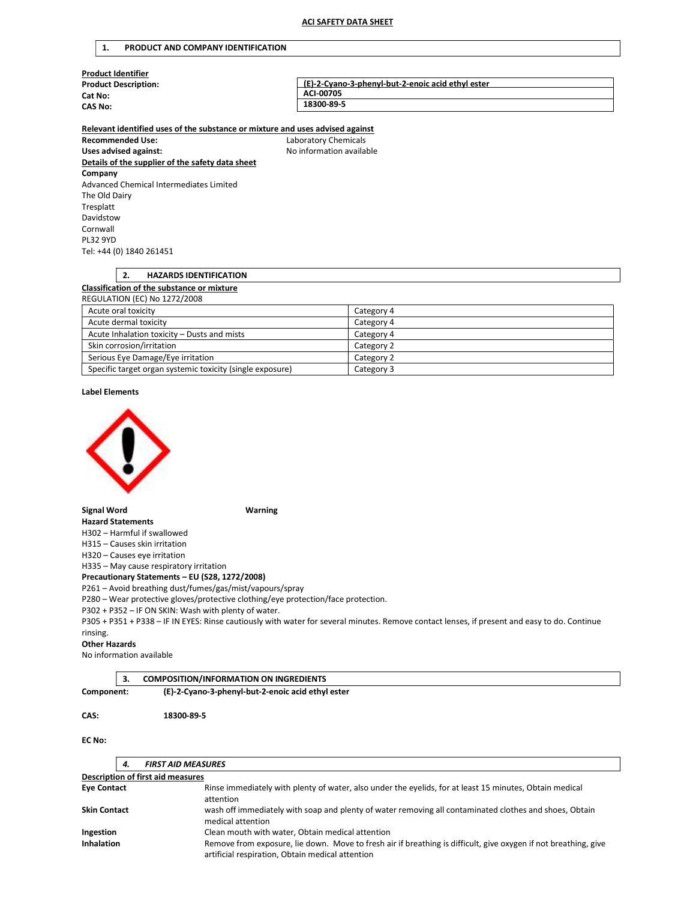### 1. PRODUCT AND COMPANY IDENTIFICATION

| <b>Product Identifier</b>                                                     |                                                   |  |
|-------------------------------------------------------------------------------|---------------------------------------------------|--|
| <b>Product Description:</b>                                                   | (E)-2-Cyano-3-phenyl-but-2-enoic acid ethyl ester |  |
| Cat No:                                                                       | ACI-00705                                         |  |
| <b>CAS No:</b>                                                                | 18300-89-5                                        |  |
| Relevant identified uses of the substance or mixture and uses advised against |                                                   |  |
| <b>Recommended Use:</b>                                                       | Laboratory Chemicals                              |  |
| Uses advised against:                                                         | No information available                          |  |
| Details of the supplier of the safety data sheet                              |                                                   |  |
| Company                                                                       |                                                   |  |
| Advanced Chemical Intermediates Limited                                       |                                                   |  |
| The Old Dairy                                                                 |                                                   |  |
| Tresplatt                                                                     |                                                   |  |
| Davidstow                                                                     |                                                   |  |
| Cornwall                                                                      |                                                   |  |

# 2. HAZARDS IDENTIFICATION

# Classification of the substance or mixture

| <b>REGULATION (EC) No 1272/2008</b>                       |            |
|-----------------------------------------------------------|------------|
| Acute oral toxicity                                       | Category 4 |
| Acute dermal toxicity                                     | Category 4 |
| Acute Inhalation toxicity - Dusts and mists               | Category 4 |
| Skin corrosion/irritation                                 | Category 2 |
| Serious Eye Damage/Eye irritation                         | Category 2 |
| Specific target organ systemic toxicity (single exposure) | Category 3 |

### Label Elements

PL32 9YD

Tel: +44 (0) 1840 261451



Signal Word Warning

Hazard Statements H302 – Harmful if swallowed

H315 – Causes skin irritation

H320 – Causes eye irritation

H335 – May cause respiratory irritation

Precautionary Statements – EU (S28, 1272/2008)

P261 – Avoid breathing dust/fumes/gas/mist/vapours/spray

P280 – Wear protective gloves/protective clothing/eye protection/face protection.

P302 + P352 – IF ON SKIN: Wash with plenty of water.

P305 + P351 + P338 – IF IN EYES: Rinse cautiously with water for several minutes. Remove contact lenses, if present and easy to do. Continue rinsing.

# Other Hazards

No information available

# 3. COMPOSITION/INFORMATION ON INGREDIENTS

Component: (E)-2-Cyano-3-phenyl-but-2-enoic acid ethyl ester

### CAS: 18300-89-5

# EC No:

|                     | 4. | <b>FIRST AID MEASURES</b>                                                                                                                                           |
|---------------------|----|---------------------------------------------------------------------------------------------------------------------------------------------------------------------|
|                     |    | <b>Description of first aid measures</b>                                                                                                                            |
| <b>Eye Contact</b>  |    | Rinse immediately with plenty of water, also under the eyelids, for at least 15 minutes, Obtain medical<br>attention                                                |
| <b>Skin Contact</b> |    | wash off immediately with soap and plenty of water removing all contaminated clothes and shoes, Obtain<br>medical attention                                         |
| Ingestion           |    | Clean mouth with water, Obtain medical attention                                                                                                                    |
| <b>Inhalation</b>   |    | Remove from exposure, lie down. Move to fresh air if breathing is difficult, give oxygen if not breathing, give<br>artificial respiration, Obtain medical attention |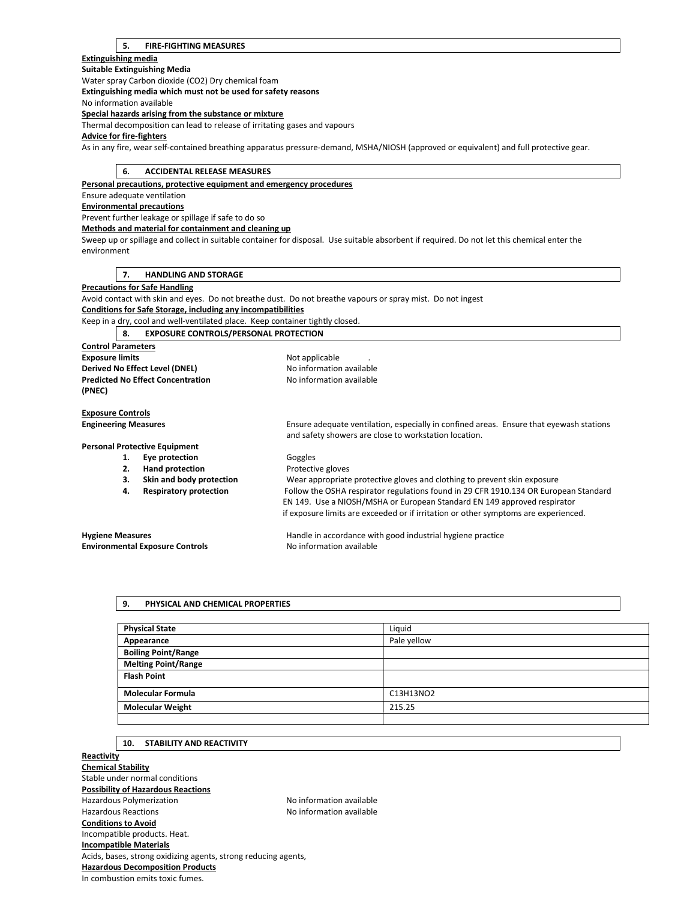# 5. FIRE-FIGHTING MEASURES

# Extinguishing media

Suitable Extinguishing Media Water spray Carbon dioxide (CO2) Dry chemical foam Extinguishing media which must not be used for safety reasons No information available Special hazards arising from the substance or mixture Thermal decomposition can lead to release of irritating gases and vapours Advice for fire-fighters As in any fire, wear self-contained breathing apparatus pressure-demand, MSHA/NIOSH (approved or equivalent) and full protective gear. 6. ACCIDENTAL RELEASE MEASURES Personal precautions, protective equipment and emergency procedures

Ensure adequate ventilation Environmental precautions Prevent further leakage or spillage if safe to do so Methods and material for containment and cleaning up Sweep up or spillage and collect in suitable container for disposal. Use suitable absorbent if required. Do not let this chemical enter the environment 7. HANDLING AND STORAGE

# Precautions for Safe Handling

Avoid contact with skin and eyes. Do not breathe dust. Do not breathe vapours or spray mist. Do not ingest Conditions for Safe Storage, including any incompatibilities

#### Keep in a dry, cool and well-ventilated place. Keep container tightly closed.

|                                | <b>EXPOSURE CONTROLS/PERSONAL PROTECTION</b><br>- 8. |  |                          |  |
|--------------------------------|------------------------------------------------------|--|--------------------------|--|
| <b>Control Parameters</b>      |                                                      |  |                          |  |
| <b>Exposure limits</b>         |                                                      |  | Not applicable           |  |
| Derived No Effect Level (DNEL) |                                                      |  | No information available |  |

Predicted No Effect Concentration Noinformation available (PNEC)

# Exposure Controls

Engineering Measures Ensure adequate ventilation, especially in confined areas. Ensure that eyewash stations and safety showers are close to workstation location.

# Personal Protective Equipment

- 1. Eye protection Goggles<br>
2. Hand protection Protective
	- Hand protection **Protective gloves**

3. Skin and body protection Wear appropriate protective gloves and clothing to prevent skin exposure<br>4. Respiratory protection Follow the OSHA respirator regulations found in 29 CFR 1910.134 OR Europ Follow the OSHA respirator regulations found in 29 CFR 1910.134 OR European Standard EN 149. Use a NIOSH/MSHA or European Standard EN 149 approved respirator if exposure limits are exceeded or if irritation or other symptoms are experienced.

# Environmental Exposure Controls Noinformation available

Hygiene Measures **Handle in accordance with good industrial hygiene practice Handle** in accordance with good industrial hygiene practice

# 9. PHYSICAL AND CHEMICAL PROPERTIES

| <b>Physical State</b>      | Liguid      |
|----------------------------|-------------|
| Appearance                 | Pale yellow |
| <b>Boiling Point/Range</b> |             |
| <b>Melting Point/Range</b> |             |
| <b>Flash Point</b>         |             |
| <b>Molecular Formula</b>   | C13H13NO2   |
| <b>Molecular Weight</b>    | 215.25      |
|                            |             |

# 10. STABILITY AND REACTIVITY

# **Reactivity** Chemical Stability Stable under normal conditions Possibility of Hazardous Reactions Hazardous Polymerization **No information available** Hazardous Reactions **No information available** Conditions to Avoid Incompatible products. Heat. Incompatible Materials Acids, bases, strong oxidizing agents, strong reducing agents, Hazardous Decomposition Products In combustion emits toxic fumes.